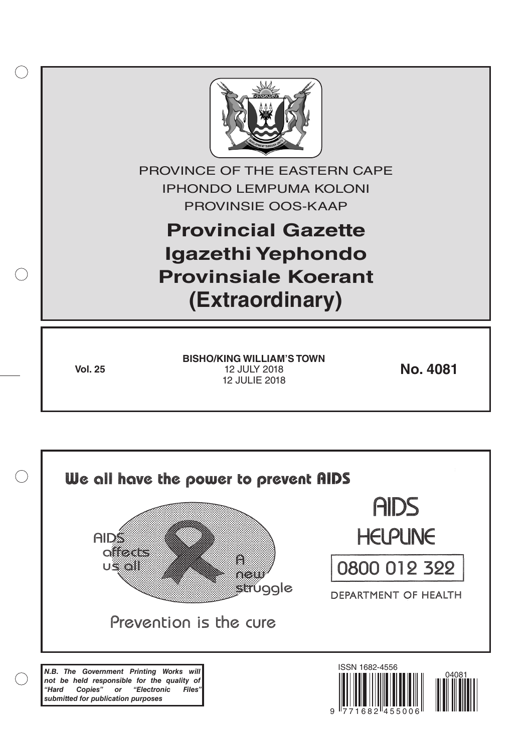

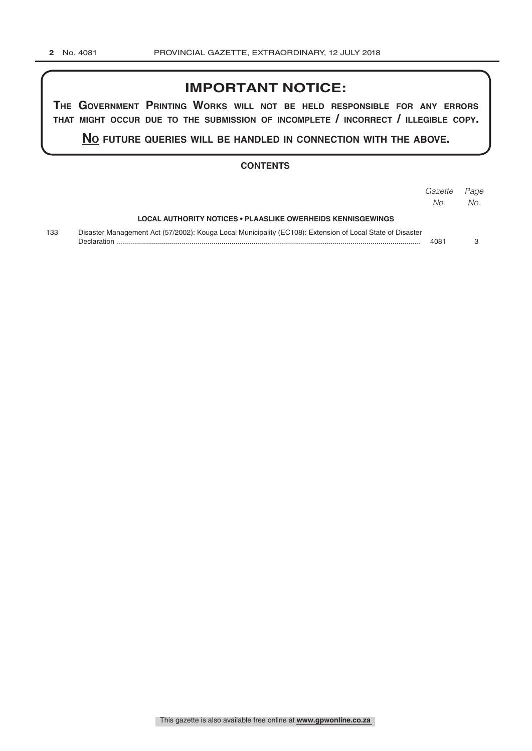# **IMPORTANT NOTICE:**

**The GovernmenT PrinTinG Works Will noT be held resPonsible for any errors ThaT miGhT occur due To The submission of incomPleTe / incorrecT / illeGible coPy.**

**no fuTure queries Will be handled in connecTion WiTh The above.**

#### **CONTENTS**

|     |                                                                                                                          | Gazette<br>No. | Page<br>No. |
|-----|--------------------------------------------------------------------------------------------------------------------------|----------------|-------------|
|     | LOCAL AUTHORITY NOTICES • PLAASLIKE OWERHEIDS KENNISGEWINGS                                                              |                |             |
| 133 | Disaster Management Act (57/2002): Kouga Local Municipality (EC108): Extension of Local State of Disaster<br>Declaration | 4081           |             |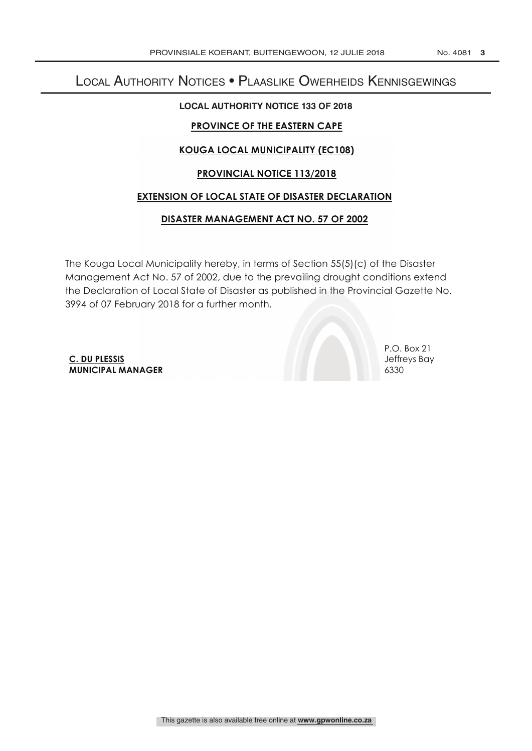# Local Authority Notices • Plaaslike Owerheids Kennisgewings

### **LOCAL AUTHORITY NOTICE 133 OF 2018**

## **PROVINCE OF THE EASTERN CAPE**

# **KOUGA LOCAL MUNICIPALITY (EC108)**

### **PROVINCIAL NOTICE 113/2018**

### **EXTENSION OF LOCAL STATE OF DISASTER DECLARATION**

### **DISASTER MANAGEMENT ACT NO. 57 OF 2002**

The Kouga Local Municipality hereby, in terms of Section 55(5)(c) of the Disaster Management Act No. 57 of 2002, due to the prevailing drought conditions extend the Declaration of Local State of Disaster as published in the Provincial Gazette No. 3994 of 07 February 2018 for a further month.

**C. DU PLESSIS** Jeffreys Bay **MUNICIPAL MANAGER** 6330

P.O. Box 21